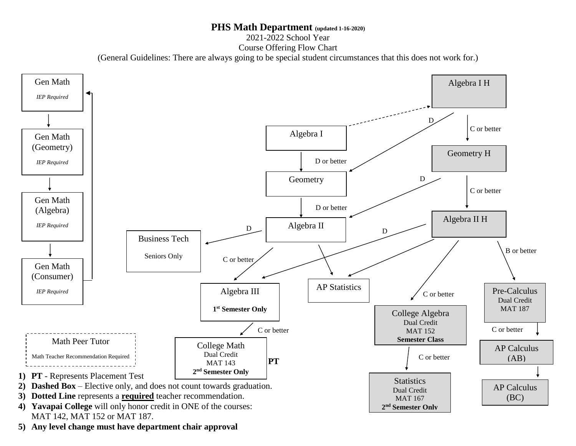## **PHS Math Department (updated 1-16-2020)**

2021-2022 School Year

Course Offering Flow Chart

(General Guidelines: There are always going to be special student circumstances that this does not work for.)



**5) Any level change must have department chair approval**